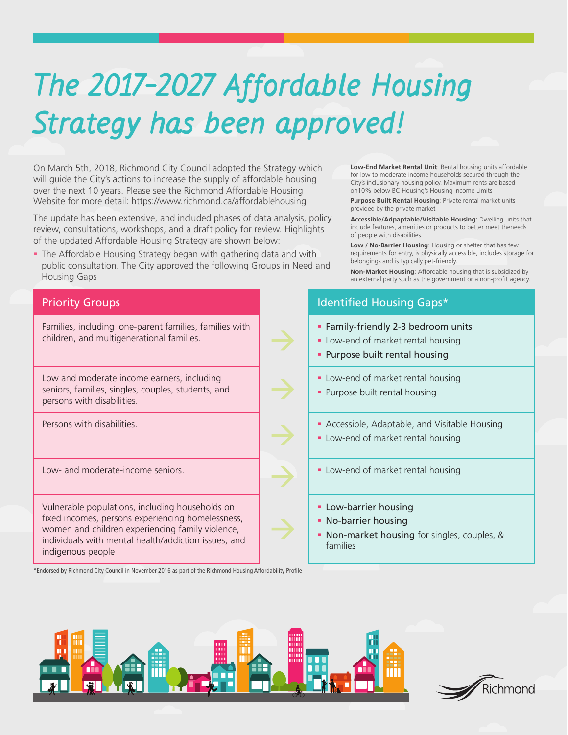## **The 2017-2027 Affordable Housing Strategy has been approved!**

On March 5th, 2018, Richmond City Council adopted the Strategy which will guide the City's actions to increase the supply of affordable housing over the next 10 years. Please see the Richmond Affordable Housing Website for more detail: https://www.richmond.ca/affordablehousing

The update has been extensive, and included phases of data analysis, policy review, consultations, workshops, and a draft policy for review. Highlights of the updated Affordable Housing Strategy are shown below:

 The Affordable Housing Strategy began with gathering data and with public consultation. The City approved the following Groups in Need and Housing Gaps

**Low-End Market Rental Unit**: Rental housing units affordable for low to moderate income households secured through the City's inclusionary housing policy. Maximum rents are based on10% below BC Housing's Housing Income Limits

**Purpose Built Rental Housing**: Private rental market units provided by the private market

**Accessible/Adpaptable/Visitable Housing**: Dwelling units that include features, amenities or products to better meet theneeds of people with disabilities.

**Low / No-Barrier Housing**: Housing or shelter that has few requirements for entry, is physically accessible, includes storage for belongings and is typically pet-friendly.

**Non-Market Housing**: Affordable housing that is subsidized by an external party such as the government or a non-profit agency.

## **Priority Groups International Control Control Control Control Control Control Control Control Control Control Control Control Control Control Control Control Control Control Control Control Control Control Control Control** Families, including lone-parent families, families with children, and multigenerational families. **Family-friendly 2-3 bedroom units -** Low-end of market rental housing **Purpose built rental housing** Low and moderate income earners, including seniors, families, singles, couples, students, and persons with disabilities. **-** Low-end of market rental housing **Purpose built rental housing** Persons with disabilities. The contract of the contract of the Accessible, Adaptable, and Visitable Housing **-** Low-end of market rental housing Low- and moderate-income seniors. **Low-end of market rental housing Low-end of market rental housing** Vulnerable populations, including households on fixed incomes, persons experiencing homelessness, women and children experiencing family violence, individuals with mental health/addiction issues, and indigenous people **Low-barrier housing No-barrier housing Non-market housing** for singles, couples, & families \*Endorsed by Richmond City Council in November 2016 as part of the Richmond Housing Affordability Profile



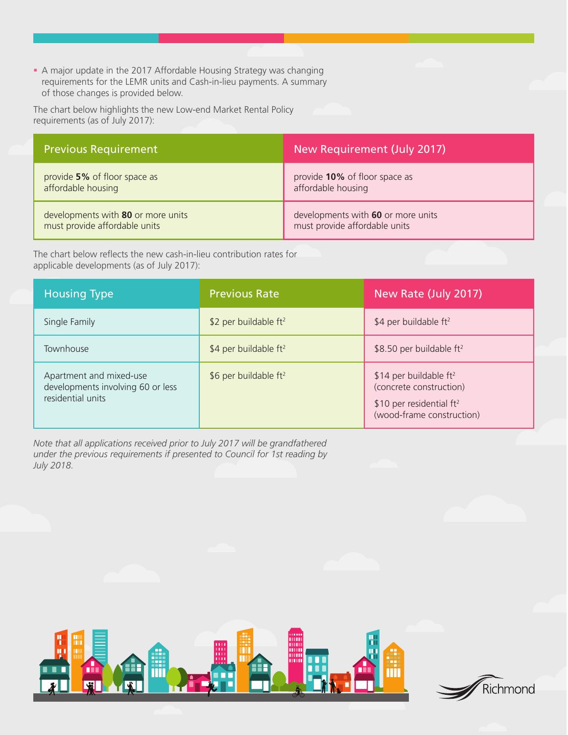A major update in the 2017 Affordable Housing Strategy was changing requirements for the LEMR units and Cash-in-lieu payments. A summary of those changes is provided below.

The chart below highlights the new Low-end Market Rental Policy requirements (as of July 2017):

| <b>Previous Requirement</b>        | New Requirement (July 2017)        |
|------------------------------------|------------------------------------|
| provide 5% of floor space as       | provide 10% of floor space as      |
| affordable housing                 | affordable housing                 |
| developments with 80 or more units | developments with 60 or more units |
| must provide affordable units      | must provide affordable units      |

The chart below reflects the new cash-in-lieu contribution rates for applicable developments (as of July 2017):

| <b>Housing Type</b>                                                               | <b>Previous Rate</b>     | New Rate (July 2017)                                                                                             |
|-----------------------------------------------------------------------------------|--------------------------|------------------------------------------------------------------------------------------------------------------|
| Single Family                                                                     | \$2 per buildable $ft^2$ | \$4 per buildable $ft^2$                                                                                         |
| Townhouse                                                                         | \$4 per buildable $ft^2$ | \$8.50 per buildable $ft^2$                                                                                      |
| Apartment and mixed-use<br>developments involving 60 or less<br>residential units | \$6 per buildable $ft^2$ | \$14 per buildable $ft^2$<br>(concrete construction)<br>\$10 per residential $ft^2$<br>(wood-frame construction) |

*Note that all applications received prior to July 2017 will be grandfathered under the previous requirements if presented to Council for 1st reading by July 2018.*